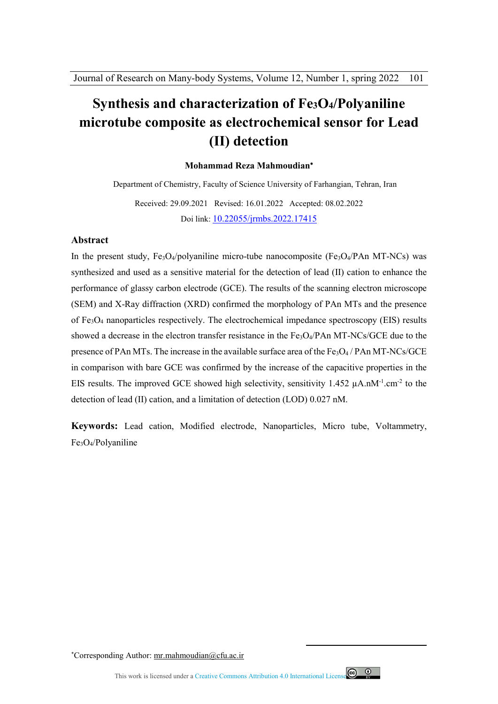# **Synthesis and characterization of Fe3O4/Polyaniline microtube composite as electrochemical sensor for Lead (II) detection**

#### **Mohammad Reza Mahmoudian**

Department of Chemistry, Faculty of Science University of Farhangian, Tehran, Iran

Received: 29.09.2021 Revised: 16.01.2022 Accepted: 08.02.2022 Doi link: 10.22055/jrmbs.2022.17415

#### **Abstract**

In the present study,  $Fe<sub>3</sub>O<sub>4</sub>/polyaniline micro-tube nanocomposite (Fe<sub>3</sub>O<sub>4</sub>/Pan MT-NCs) was$ synthesized and used as a sensitive material for the detection of lead (II) cation to enhance the performance of glassy carbon electrode (GCE). The results of the scanning electron microscope (SEM) and X-Ray diffraction (XRD) confirmed the morphology of PAn MTs and the presence of Fe3O4 nanoparticles respectively. The electrochemical impedance spectroscopy (EIS) results showed a decrease in the electron transfer resistance in the  $Fe<sub>3</sub>O<sub>4</sub>/PAn MT-NCs/GCE$  due to the presence of PAn MTs. The increase in the available surface area of the  $Fe<sub>3</sub>O<sub>4</sub>$  / PAn MT-NCs/GCE in comparison with bare GCE was confirmed by the increase of the capacitive properties in the EIS results. The improved GCE showed high selectivity, sensitivity  $1.452 \mu A.nM^{-1}$ .cm<sup>-2</sup> to the detection of lead (II) cation, and a limitation of detection (LOD) 0.027 nM.

**Keywords:** Lead cation, Modified electrode, Nanoparticles, Micro tube, Voltammetry, Fe3O4/Polyaniline

Corresponding Author: mr.mahmoudian@cfu.ac.ir



 $\overline{a}$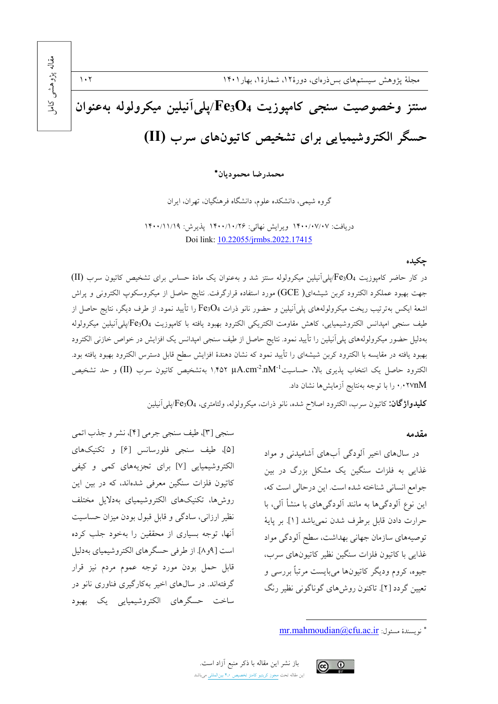مقاله پڑوهشی مجلهٔ پژوهش سیستمهای بس ذرهای، دورهٔ۱۲، شمارهٔ۱، بهار۱۴۰۱  $\mathcal{N} \cdot \mathcal{N}$ کام سنتز وخصوصيت سنجى كاميوزيت Fe3O4/يلي آنيلين ميكرولوله بهعنوان حسگر الکتروشیمیایی برای تشخیص کاتیونهای سرب (II)

محمدرضا محموديان\*

گروه شیمی، دانشکده علوم، دانشگاه فرهنگیان، تهران، ایران

دريافت: ١۴٠٠/٠٧/٠٧ ويرايش نهائي: ١۴٠٠/١٠/٢۶ يذيرش: ١٢٠٠/١١/١٩ Doi link: 10.22055/jrmbs.2022.17415

#### حكىدە

در کار حاضر کامپوزیت Fe3O4/پلی آنیلین میکرولوله سنتز شد و بهعنوان یک مادهٔ حساس برای تشخیص کاتیون سرب (II) جهت بهبود عملكرد الكترود كربن شيشهاى( GCE) مورد استفاده قرارگرفت. نتايج حاصل از ميكروسكوپ الكتروني و پراش اشعهٔ ایکس بهترتیب ریخت میکرولولههای پلیآنیلین و حضور نانو ذرات Fe3O4 را تأیید نمود. از طرف دیگر، نتایج حاصل از طيف سنجى امپدانس الكتروشيميايى، كاهش مقاومت الكتريكي الكترود بهبود يافته با كامپوزيت Fe3O4/پلي آنيلين ميكرولوله بهدلیل حضور میکرولولههای پلیآنیلین را تأیید نمود. نتایج حاصل از طیف سنجی امپدانس یک افزایش در خواص خازنی الکترود بهبود یافته در مقایسه با الکترود کربن شیشهای را تأیید نمود که نشان دهندهٔ افزایش سطح قابل دسترس الکترود بهبود یافته بود. الكترود حاصل يك انتخاب پذيري بالا، حساسيت 1M2.cm<sup>2</sup>.nM (1,۴۵۲ بهتشخيص كاتيون سرب (II) و حد تشخيص ۰٬۰۲۷nM م. را با توجه بهنتایج آزمایشها نشان داد.

سنجي [٣]، طيف سنجي جرمي [٢]، نشر و جذب اتمي

[۵]، طيف سنجي فلورسانس [۶] و تكنيكهاي

الکتروشیمیایی [۷] برای تجزیههای کمی و کیفی

کاتیون فلزات سنگین معرفی شدهاند، که در بین این

روشها، تكنيكهاى الكتروشيمياى بهدلايل مختلف

نظیر ارزانی، سادگی و قابل قبول بودن میزان حساسیت

<mark>آنها، توجه بسیاری از محققین را بهخود جلب کرده</mark>

است [۹و۸]. از طرفي حسگرهاي الكتروشيمياي بهدليل

قابل حمل بودن مورد توجه عموم مردم نيز قرار

گرفتهاند. در سال های اخیر بهکارگیری فناوری نانو در

ساخت حسگرهای الکتروشیمیایی یک بهبود

كليدواژگان: كاتيون سرب، الكترود اصلاح شده، نانو ذرات، ميكرولوله، ولتامتري، Fe3O4/بلي آنيلين

#### مقدمه

در سالهای اخیر آلودگی آبهای آشامیدنی و مواد غذایی به فلزات سنگین یک مشکل بزرگ در بین جوامع انسانی شناخته شده است. این درحالی است که، این نوع آلودگیها به مانند آلودگیهای با منشأ آلی، با حرارت دادن قابل برطرف شدن نمي باشد [1]. بر پاية توصیههای سازمان جهانی بهداشت، سطح آلودگی مواد غذایی با کاتبون فلزات سنگین نظیر کاتبونهای سرب، جيوه، کروم وديگر کاتيونها مي!پست مرتباً بررسي و تعیین گردد [۲]. تاکنون روش های گوناگونی نظیر رنگ

باز نشر این مقاله با ذکر منبع آزاد است. این مقاله تحت مجوز کریتیو کامنز تخصیص ۴٫۰ بینالمللی میباشد



<sup>\*</sup> نويسندة مسئول: mr.mahmoudian@cfu.ac.ir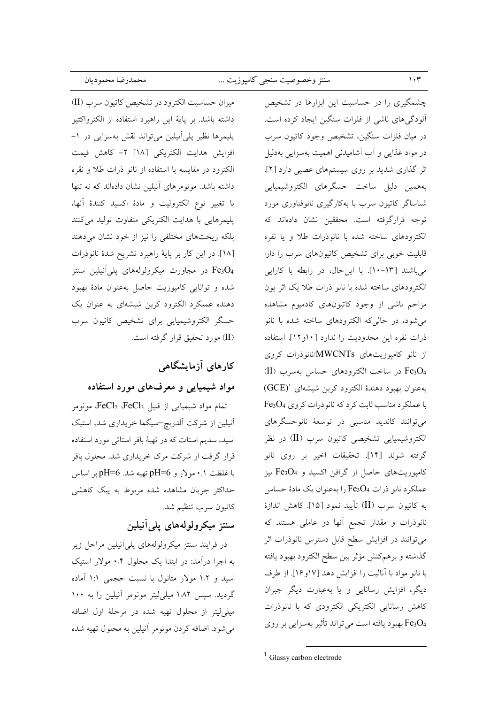|  | سنتز وخصوصیت سنجی کامپوزیت … |  |  |
|--|------------------------------|--|--|

ميزان حساسيت الكترود در تشخيص كاتيون سرب (II) داشته باشد. بر پایهٔ این راهبرد استفاده از الکترواکتیو پلیمرها نظیر پلی آنیلین می تواند نقش بهسزایی در ۱– افزايش هدايت الكتريكي [١٨] ٢- كاهش قيمت الكترود در مقايسه با استفاده از نانو ذرات طلا و نقره داشته باشد. مونومرهای آنیلین نشان دادهاند که نه تنها با تغيير نوع الكتروليت و مادهٔ اكسيد كنندهٔ آنها، پلیمرهایی با هدایت الکتریکی متفاوت تولید میکنند بلکه ریختهای مختلفی را نیز از خود نشان میدهند [۱۸]. در این کار بر پایهٔ راهبرد تشریح شدهٔ نانوذرات در مجاورت میکرولولههای پلی آنیلین سنتز Fe3O4 شده و توانایی کامپوزیت حاصل بهعنوان مادهٔ بهبود دهنده عملکرد الکترود کربن شیشهای به عنوان یک حسگر الکتروشیمیایی برای تشخیص کاتیون سرب (II) مورد تحقیق قرار گرفته است.

## کارهای آزمایشگاهی

### مواد شیمیایی و معرفهای مورد استفاده

تمام مواد شيميايي از قبيل FeCl2 ،FeCl3، مونومر أنيلين از شركت ألدربچ-سيگما خريداري شد، استيک اسید، سدیم استات که در تهیهٔ بافر استاتی مورد استفاده قرار گرفت از شرکت مرک خریداری شد. محلول بافر با غلظت ۰٫۱ مولار و pH=6 تهیه شد. pH=6 بر اساس حداکثر جریان مشاهده شده مربوط به پیک کاهشی كاتيون سرب تنظيم شد.

## سنتز میکرولولههای پلی آنیلین

در فرایند سنتز میکرولولههای پلی آنیلین مراحل زیر به اجرا درآمد: در ابتدا یک محلول ۰٫۴ مولار استیک اسید و ۱٫۲ مولار متانول با نسبت حجمی ۱:۱ آماده گردید. سپس ۱٫۸۲ میلی لیتر مونومر آنیلین را به ۱۰۰ میلی لیتر از محلول تهیه شده در مرحلهٔ اول اضافه می شود. اضافه کردن مونومر آنیلین به محلول تهیه شده

چشمگیری را در حساسیت این ابزارها در تشخیص .<br>آلودگیهای ناشی از فلزات سنگین ایجاد کرده است. در میان فلزات سنگین، تشخیص وجود کاتیون سرب در مواد غذایی و آب آشامیدنی اهمیت بهسزایی بهدلیل اثر گذاری شدید بر روی سیستمهای عصبی دارد [۲]. بههمین دلیل ساخت حسگرهای الکتروشیمیایی شناساگر کاتیون سرب با بهکارگیری نانوفناوری مورد توجه قرارگرفته است. محققین نشان دادهاند که الكترودهاى ساخته شده با نانوذرات طلا ويا نقره قابلیت خوبی برای تشخیص کاتیونهای سرب را دارا می باشند [۱۳–۱۰]. با این حال، در رابطه با کارایی الكترودهاى ساخته شده با نانو ذرات طلا يك اثر يون مزاحم ناشی از وجود کاتیونهای کادمیوم مشاهده می شود، در حالی که الکترودهای ساخته شده با نانو ذرات نقره این محدودیت را ندارد [۱۰و۱۲]. استفاده از نانو کامپوزیتهای MWCNTs/نانوذرات کروی Fe3O4 در ساخت الكترودهاى حساس بهسرب (II) به عنوان بهبود دهندهٔ الکترود کربن شیشهای '(GCE) با عملکرد مناسب ثابت کرد که نانوذرات کروی Fe3O4 میتوانند کاندید مناسبی در توسعهٔ نانوحسگرهای الکتروشیمیایی تشخیصی کاتیون سرب (II) در نظر گرفته شوند [۱۴]. تحقیقات اخیر بر روی نانو کامپوزیتهای حاصل از گرافن اکسید و Fe3O4 نیز عملکرد نانو ذرات Fe3O4 را بهعنوان یک مادهٔ حساس به كاتيون سرب (II) تأييد نمود [١٥]. كاهش اندازهٔ .<br>نانوذرات و مقدار تجمع آنها دو عامل<sub>ی</sub> هستند که می توانند در افزایش سطح قابل دسترس نانوذرات اثر گذاشته و برهمكنش مؤثر بين سطح الكترود بهبود يافته با نانو مواد با آنالیت را افزایش دهد [۱۷و۱۶]. از طرف دیگر، افزایش رسانایی و یا بهعبارت دیگر جبران كاهش رسانايي الكتريكي الكترودي كه با نانوذرات Fe3O4 بهبود يافته است مي تواند تأثير بهسزايي بر روي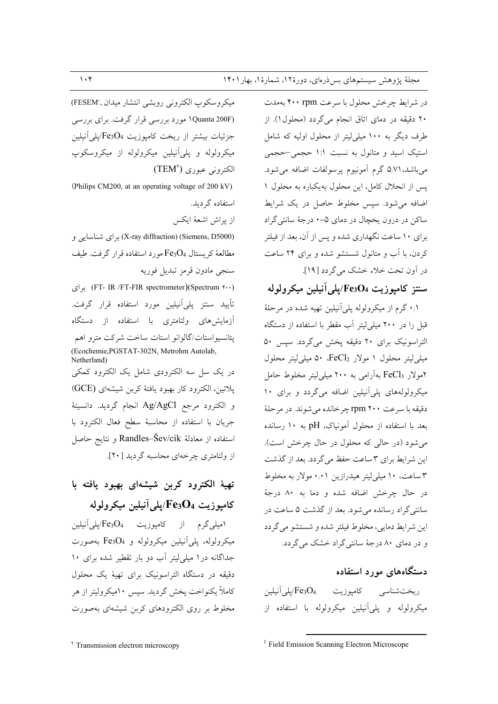در شرایط چرخش محلول با سرعت ۴۰۰ rpm بهمدت ۲۰ دقیقه در دمای اتاق انجام میگردد (محلول۱). از طرف دیگر به ۱۰۰ میلی!پتر از محلول اولیه که شامل استیک اسید و متانول به نسبت ۱:۱ حجمی-حجمی مي باشد، ۵٬۷۱ گرم آمونيوم پرسولفات اضافه مي شود. پس از انحلال کامل، این محلول بهیکباره به محلول ۱ اضافه می شود. سپس مخلوط حاصل در یک شرایط ساکن در درون یخچال در دمای ۵-۰ درجهٔ سانتی گراد برای ۱۰ ساعت نگهداری شده و پس از آن، بعد از فیلتر کردن، با آب و متانول شستشو شده و برای ۲۴ ساعت در اَون تحت خلاء خشک می گردد [۱۹].

### سنتز كاميوزيت Fe3O4/يلي آنيلين ميكرولوله

۰/۱ گرم از میکرولوله پلی آنیلین تهیه شده در مرحلهٔ قبل را در ۲۰۰ میلی لیتر آب مقطر با استفاده از دستگاه التراسونيک برای ٢٠ دقيقه پخش ميگردد. سپس ٥٠ میلی لیتر محلول ۱ مولار FeCl2، ۵۰ میلی لیتر محلول ۲مولار FeCl<sub>3</sub> بهآرامی به ۲۰۰ میل<sub>ی</sub>لیتر مخلوط حامل میکرولولههای پلیآنیلین اضافه میگردد و برای ۱۰ دقيقه با سرعت ٢٠٠ rpm جر خانده مي شوند. در مر حلهٔ بعد با استفاده از محلول آمونیاک، pH به ۱۰ رسانده می شود (در حالی که محلول در حال چرخش است). این شرایط برای ۳ ساعت حفظ می گردد. بعد از گذشت ۳ ساعت، ۱۰ میلی لیتر هیدرازین ۰٫۰۱ مولار به مخلوط در حال چرخش اضافه شده و دما به ۸۰ درجهٔ سانتی گراد رسانده می شود. بعد از گذشت ۵ ساعت در اين شرايط دمايي، مخلوط فيلتر شده و شستشو مي گردد و در دمای ۸۰ درجهٔ سانتی گراد خشک می گردد.

### دستگاههای مورد استفاده

میکرولوله و یلی آنیلین میکرولوله با استفاده از

ميكروسكوب الكتروني روبشي انتشار ميدان ,(FESEM) (Quanta 200F) مورد بررسی قرار گرفت. برای بررسی جزئیات بیشتر از ریخت کامپوزیت Fe3O4/پلی آنیلین میکرولوله و پلی آنیلین میکرولوله از میکروسکوپ الكتروني عبوري (TEM)

(Philips CM200, at an operating voltage of 200 kV) استفاده گر دىد. از يراش اشعهٔ ايكس (X-ray diffraction) (Siemens, D5000) برای شناسایی و مطالعهٔ کریستال Fe3O4 مورد استفاده قرار گرفت. طیف

سنجي مادون قرمز تبديل فوريه (FT- IR /FT-FIR spectrometer)(Spectrum ۴۰۰) برای .<br>تأیید سنتز پل*ی*آنیلین مورد استفاده قرار گرفت. آزمایشهای ولتامتری با استفاده از دستگاه پتانسیواستات/گالوانو استات ساخت شرکت مترو اهم (Ecochemie, PGSTAT-302N, Metrohm Autolab, Netherland)

در یک سل سه الکترودی شامل یک الکترود کمکی پلاتین، الکترود کار بهبود یافتهٔ کربن شیشهای (GCE) و الكترود مرجع Ag/AgCl انجام گرديد. دانسيتهٔ جريان با استفاده از محاسبهٔ سطح فعال الكترود با استفاده از معادلهٔ Randles–Šev/cik و نتایج حاصل از ولتامتري چرخهاي محاسبه گرديد [۲۰].

# تهيهٔ الکترود کربن شيشهای بهبود يافته با كامپوزيت Fe3O4/يلي آنيلين ميكرولوله

امیلی گرم از کامپوزیت Fe3O4/پلی آنیلین میکرولوله، پلی آنیلین میکرولوله و Fe3O4 بهصورت جداگانه در ۱ میلی لیتر آب دو بار تقطیر شده برای ۱۰ دقیقه در دستگاه التراسونیک برای تهیهٔ یک محلول کاملاً یکنواخت یخش گردید. سپس ۱۰میکرولیتر از هر مخلوط بر روی الکترودهای کربن شیشهای بهصورت

<sup>&</sup>lt;sup>1</sup> Field Emission Scanning Electron Microscope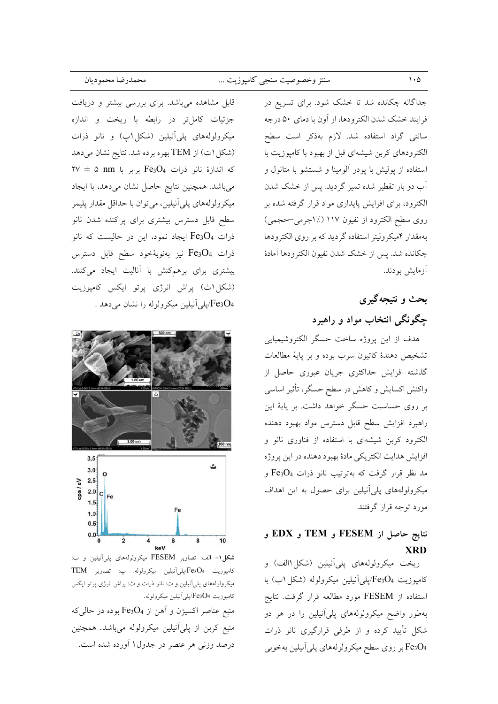قابل مشاهده میباشد. برای بررسی بیشتر و دریافت جزئیات کاملتر در رابطه با ریخت و اندازه میکرولولههای پلیآنیلین (شکل۱پ) و نانو ذرات (شکل ۱ت) از TEM بهره برده شد. نتایج نشان میدهد  $YV \pm \Delta$  nm برابر با Fe3O4 که اندازهٔ نانو ذرات Fe3O4 میباشد. همچنین نتایج حاصل نشان میدهد، با ایجاد میکرولولههای پلی آنیلین، می توان با حداقل مقدار پلیمر سطح قابل دسترس بیشتری برای پراکنده شدن نانو ذرات Fe3O4 ایجاد نمود، این در حالیست که نانو ذرات Fe3O4 نيز بهنوبهٔخود سطح قابل دسترس بیشتری برای برهمکنش با آنالیت ایجاد میکنند. (شکل اث) پراش انرژی پرتو ایکس کامپوزیت بلی آنیلین میکرولوله را نشان میدهد . $\rm Fe_3O_4$ 



شکل ۱- الف: تصاویر FESEM میکرولولههای پلیآنیلین و ب: كامپوزيت Fe3O4/پلي آنيلين ميكرولوله. پ: تصاوير TEM میکرولولههای پلیآنیلین و ت: نانو ذرات و ث: پراش انرژی پرتو ایکس كامپوزيت Fe3O4/پلي آنيلين ميكرولوله. منبع عناصر اکسیژن و آهن از Fe3O4 بوده در حال<sub>ی</sub>که منبع کربن از پلیآنیلین میکرولوله میباشد. همچنین

درصد وزنی هر عنصر در جدول۱ آورده شده است.

جداگانه چکانده شد تا خشک شود. برای تسریع در فرايند خشك شدن الكترودها، از أون با دماي ۵۰ درجه سانتی گراد استفاده شد. لازم بهذکر است سطح الکترودهای کربن شیشهای قبل از بهبود با کامپوزیت با استفاده از یولیش با یودر آلومینا و شستشو با متانول و آب دو بار تقطیر شده تمیز گردید. پس از خشک شدن الکترود، برای افزایش پایداری مواد قرار گرفته شده بر روی سطح الکترود از نفیون ۱۱۷ (٪۱جرمی–حجمی) بهمقدار ۴میکرولیتر استفاده گردید که بر روی الکترودها چکانده شد. پس از خشک شدن نفیون الکترودها آمادهٔ آزمایش بودند.

# بحث و نتيجهگيري چگونگی انتخاب مواد و راهبرد

هدف از این پروژه ساخت حسگر الکتروشیمیایی تشخيص دهندهٔ كاتيون سرب بوده و بر پايهٔ مطالعات گذشته افزایش حداکثری جریان عبوری حاصل از واکنش اکسایش و کاهش در سطح حسگر، تأثیر اساسی بر روی حساسیت حسگر خواهد داشت. بر پایهٔ این راهبرد افزایش سطح قابل دسترس مواد بهبود دهنده الکترود کربن شیشهای با استفاده از فناوری نانو و افزايش هدايت الكتريكي مادهٔ بهبود دهنده در اين پروژه مد نظر قرار گرفت که بهترتیب نانو ذرات Fe3O4 و میکرولولههای پلی آنیلین برای حصول به این اهداف مورد توجه قرار گرفتند.

### نتايج حاصل از FESEM و TEM و EDX **XRD**

ريخت ميكرولولههاي پلي أنيلين (شكل االف) و كامپوزيت Fe3O4/پلي آنيلين ميكرولوله (شكل اب) با استفاده از FESEM مورد مطالعه قرار گرفت. نتایج بهطور واضح میکرولولههای پلیآنیلین را در هر دو شکل تأیید کرده و از طرفی قرارگیری نانو ذرات Fe3O4 بر روى سطح ميكرولولههاى پلي أنيلين بهخوبي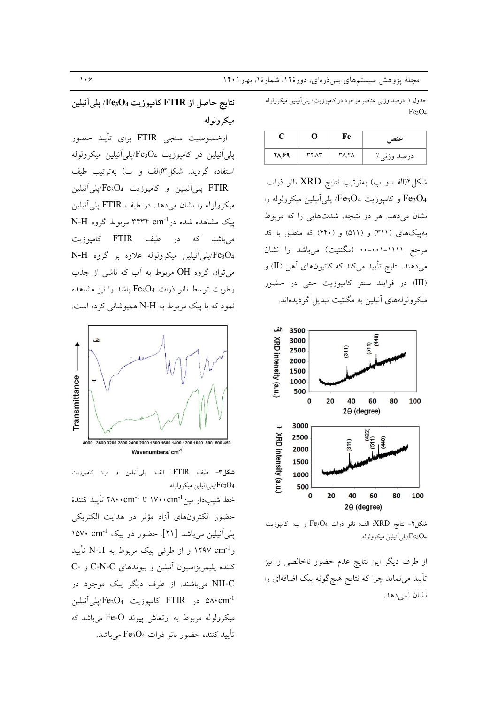جدول. ۱. درصد وزني عناصر موجود در كاميوزيت/ يلي آنيلين ميكرولوله Fe3O<sub>4</sub>

|       |       | Fe    | عنص         |
|-------|-------|-------|-------------|
| 28,89 | ۳۲.۸۳ | ۳۸٫۴۸ | درصد وزني./ |

شکل۲(الف و ب) بهترتیب نتایج XRD نانو ذرات و کامپوزیت Fe3O4/ پلی آنیلین میکرولوله را Fe3O4 نشان میدهد. هر دو نتیجه، شدتهایی را که مربوط بهییکهای (۳۱۱) و (۵۱۱) و (۴۴۰) که منطبق با کد مرجع ۱۱۱۱–۰۰-۰۰۰ (مگنتیت) میباشد را نشان میدهند. نتایج تأیید میکند که کاتیونهای آهن (II) و (III) در فرایند سنتز کامپوزیت حتی در حضور میکرولولههای آنیلین به مگنتیت تبدیل گردیدهاند.



**شكل۲-** نتايج XRD: الف: نانو ذرات Fe3O4 و ب: كامپوزيت .<br>Fe3O4/يلي آنيلين ميكرولوله.

از طرف دیگر این نتایج عدم حضور ناخالصی را نیز تأييد مي نمايد چرا كه نتايج هيچگونه پيک اضافهاي را نشان نمي دهد.

نتايج حاصل از FTIR كامپوزيت Fe3O4/ يلي آنيلين ميکر ولوله

ازخصوصیت سنجی FTIR برای تأیید حضور پلي آنيلين در كامپوزيت Fe3O4/بلي آنيلين ميكرولوله استفاده گردید. شکل۳(الف و ب) بهترتیب طیف FTIR يلي آنيلين و كاميوزيت Fe3O4/يلي آنيلين میکرولوله را نشان میدهد. در طیف FTIR پلی آنیلین ییک مشاهده شده در ۳۴۳۴ cm<sup>-1</sup> مربوط گروه N-H می باشد که در طیف FTIR کامپوزیت Pe3O4/پلی آنیلین میکرولوله علاوه بر گروه N-H می توان گروه OH مربوط به آب که ناشی از جذب رطوبت توسط نانو ذرات Fe3O4 باشد را نیز مشاهده نمود که با پیک مربوط به N-H همیوشانی کرده است.



**شكل٣-** طيف FTIR: الف: پلي آنيلين و ب: كامپوزيت Fe3O4/پلي أنيلين ميكرولوله.

خط شيبدار بين<sup>1-</sup>١٧٠٠cm تا ٢٨٠٠cm تأييد كنندهٔ حضور الكترونهاي أزاد مؤثر در هدايت الكتريكي پلی آنیلین میباشد [۲۱]. حضور دو پیک 1°۵۷۰ د۱۵۷ وNAV cm<sup>-1</sup> و از طرفی پیک مربوط به N-H تأیید کننده پلیمریزاسیون آنیلین و پیوندهای C-N-C و -C NH-C میباشند. از طرف دیگر پیک موجود در در FTIR كامبوزيت Fe3O4/يلي آنيلين  $\sim 04$ میکرولوله مربوط به ارتعاش پیوند Fe-O می باشد که تأييد كننده حضور نانو ذرات Fe3O4 مي باشد.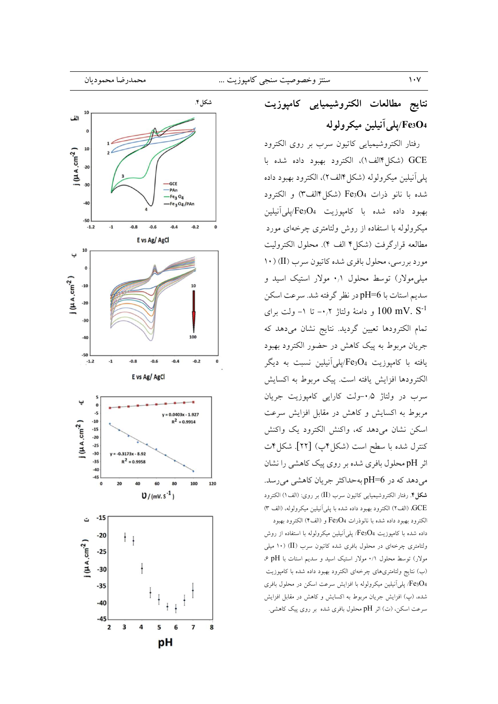

# نتايج مطالعات الكتروشيميايى كامپوزيت /Fe3O4/پلي آنيلين ميكرولوله

رفتار الكتروشيميايي كاتيون سرب بر روى الكترود GCE (شكل ۱۴لف)، الكترود بهبود داده شده با يلي آنيلين ميكرولوله (شكل ١٤لف٢)، الكترود بهبود داده شده با نانو ذرات Fe3O4 (شکل۱۴لف۳) و الکترود بهبود داده شده با كامپوزيت Fe3O4/پلي آنيلين میکرولوله با استفاده از روش ولتامتری چرخهای مورد مطالعه قراركرفت (شكل؟ الف ۴). محلول الكتروليت مورد بررسی، محلول بافری شده کاتیون سرب (II) ( ۱۰ میلی مولار) توسط محلول ۰٫۱ مولار استیک اسید و سديم استات با pH=6 در نظر گرفته شد. سرعت اسكن و دامنهٔ ولتاژ ۰٫۲– تا ۱– ولت برای  $100 \text{ mV. S}^{-1}$ تمام الكترودها تعيين گرديد. نتايج نشان مى دهد كه جریان مربوط به پیک کاهش در حضور الکترود بهبود یافته با کامیوزیت Fe3O4/پلمیآنیلین نسبت به دیگر الكترودها افزايش يافته است. ييك مربوط به اكسايش سرب در ولتاژ ۰٫۵-ولت کارایی کامپوزیت جریان مربوط به اکسایش و کاهش در مقابل افزایش سرعت اسکن نشان می<mark>دهد که، واکنش الکترود یک واکنش</mark> كنترل شده با سطح است (شكل۴پ) [۲۲]. شكل۴ت اثر pH محلول بافری شده بر روی پیک کاهشی را نشان می دهد که در pH=6 بهحداکثر جریان کاهشی می رسد. شكل؟. رفتار الكتروشيميايي كاتيون سرب (II) بر روى: (الف١) الكترود GCE، (الف٢) الكترود بهبود داده شده با يلي اَنيلين ميكرولوله، (الف ٣) الكترود بهبود داده شده با نانوذرات Fe3O4 و (الف۴) الكترود بهبود

داده شده با کامپوزیت Fe3O4/ پلی آنیلین میکرولوله با استفاده از روش ولتامتری چرخهای در محلول بافری شده کاتیون سرب (II) (۱۰ میلی مولار) توسط محلول ٠/١ مولار استيک اسيد و سديم استات با pH ۶ (ب) نتايج ولتامتريهاي چرخهاي الكترود بهبود داده شده با كامپوزيت Fe3O4/ پلی آنیلین میکرولوله با افزایش سرعت اسکن در محلول بافری شده، (پ) افزایش جریان مربوط به اکسایش و کاهش در مقابل افزایش سرعت اسکن، (ت) اثر pH محلول بافری شده بر روی پیک کاهشی.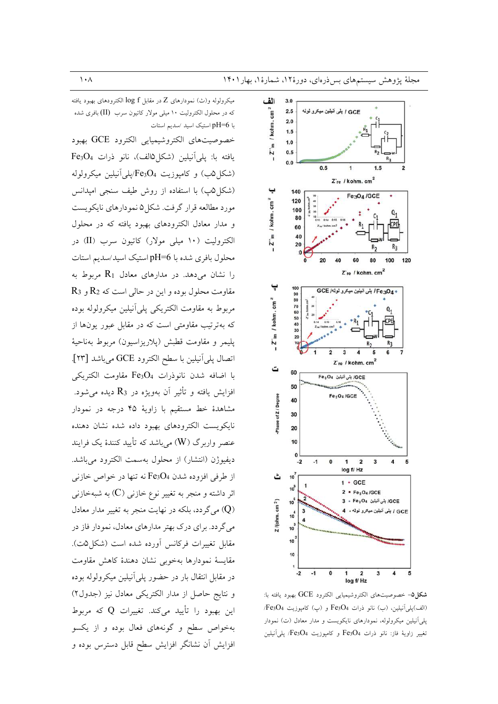میکرولوله و(ث) نمودارهای Z در مقابل  $\log\,f$  الکترودهای بهبود یافته که در محلول الکترولیت ۱۰ میلی مولار کاتیون سرب (II) بافری شده با pH=6 استیک اسید /سدیم استات خصوصيتهاى الكتروشيميايي الكترود GCE بهبود يافته با: يلي آنيلين (شكل هالف)، نانو ذرات Fe3O4 (شکل۵ب) و کامپوزیت Fe3O4/پلیآنیلین میکرولوله (شکل۵پ) با استفاده از روش طیف سنجی امپدانس مورد مطالعه قرار گرفت. شکل ۵ نمودارهای نایکویست و مدار معادل الكترودهاى بهبود يافته كه در محلول الکترولیت (١٠ میلی مولار) کاتیون سرب (II) در محلول بافري شده با pH=6 استيک اسيد/سديم استات را نشان میدهد. در مدارهای معادل  $R_1$  مربوط به  $R_3$  مقاومت محلول بوده و این در حالی است که  $R_2$  و مربوط به مقاومت الكتريكي يلي أنيلين ميكرولوله بوده که بهترتیب مقاومتی است که در مقابل عبور یونها از پليمر و مقاومت قطبش (پلاريزاسيون) مربوط بهناحيهٔ اتصال پلي آنيلين با سطح الكترود GCE ميباشد [٢٣]. با اضافه شدن نانوذرات Fe3O4 مقاومت الكتريكي افزايش يافته و تأثير آن بهويژه در R3 ديده مي شود. مشاهدهٔ خط مستقیم با زاویهٔ ۴۵ درجه در نمودار نايكويست الكترودهاى بهبود داده شده نشان دهنده عنصر واربرگ (W) می باشد که تأیید کنندهٔ یک فرایند ديفيوژن (انتشار) از محلول بهسمت الكترود مي باشد. از طرفي افزوده شدن Fe3O4 نه تنها در خواص خازني اثر داشته و منجر به تغییر نوع خازن<sub>ی</sub> (C) به شبهخازن<sub>ی</sub> (Q) می گردد، بلکه در نهایت منجر به تغییر مدار معادل می گردد. برای درک بهتر مدارهای معادل، نمودار فاز در مقابل تغییرات فرکانس آورده شده است (شکل۵ت). مقايسة نمودارها بهخوبي نشان دهندة كاهش مقاومت در مقابل انتقال بار در حضور پلی آنیلین میکرولوله بوده و نتايج حاصل از مدار الكتريكي معادل نيز (جدول٢) این بهبود را تأیید میکند. تغییرات Q که مربوط بهخواص سطح و گونههای فعال بوده و از یکسو افزایش آن نشانگر افزایش سطح قابل دسترس بوده و



شكل0- خصوصيتهاى الكتروشيميايى الكترود GCE بهبود يافته با: (الف)پلي آنيلين، (ب) نانو ذرات Fe3O4 و (پ) كامپوزيت Fe3O4/ یلی آنیلین میکرولوله، نمودارهای نایکویست و مدار معادل (ت) نمودار نغيير زاوية فاز: نانو ذرات Fe3O4 و كاميوزيت Fe3O4/ يلي آنيلين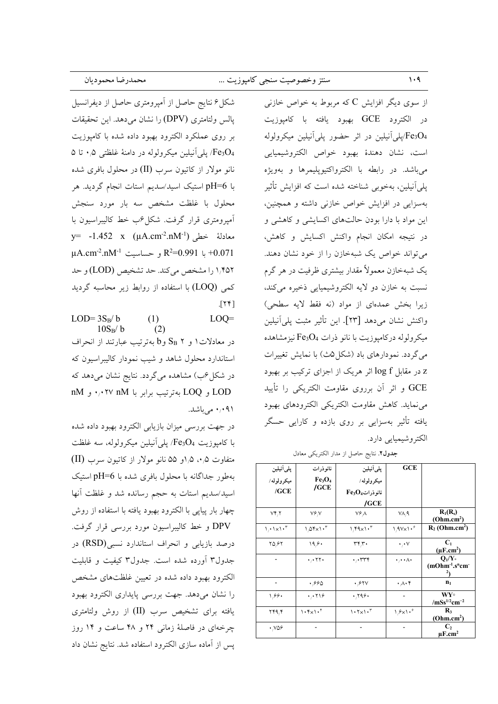| محمدرضا محموديان                               | سنتز وخصوصيت سنجي كامپوزيت …                                  |  |  |  |
|------------------------------------------------|---------------------------------------------------------------|--|--|--|
| شکل۶ نتایج حاصل از آمپرومتری حاصل از دیفرانسیل | <sub>،</sub> دیگر افزایش C که مربوط به خواص خازن <sub>ی</sub> |  |  |  |
| وال ماتامتری (DPV) ، انشان مرده دارد تحقیقات   | كترد GCE يورد بافته با كامينديت                               |  |  |  |

پالس ولتامتری (DPV) را نشان می۵هد. این تحقیقات بر روى عملكرد الكترود بهبود داده شده با كامپوزيت هFe3O4/ پلی آنیلین میکرولوله در دامنهٔ غلظتی ۰٫۵ تا ۵ نانو مولار از کاتیون سرب (II) در محلول بافری شده با pH=6 استیک اسید/سدیم استات انجام گردید. هر محلول با غلظت مشخص سه بار مورد سنجش أميرومتري قرار گرفت. شكل °ب خط كاليبراسيون با معادلهٔ خطی ('y= -1.452 x (µA.cm<sup>-2</sup>.nM<sup>-1</sup>  $\mu$ A.cm<sup>-2</sup>.nM<sup>-1</sup> و حساسيت R<sup>2</sup>=0.991 به R<sup>2</sup>=0.991 ۱٬۴۵۲ را مشخص می کند. حد تشخیص (LOD) و حد کمی (LOQ) با استفاده از روابط زیر محاسبه گردید  $[TY]$ 

 $LOD = 3S_B/b$  $(1)$  $LOO=$  $10S_R/b$  $(2)$ در معادلات ۱ و ۲ SB وb بهترتیب عبارتند از انحراف استاندارد محلول شاهد و شیب نمودار کالیبراسیون که در شکل <sup>ع</sup>ب) مشاهده میگردد. نتایج نشان می دهد که nM و LOQ بهترتيب برابر با nM ۰٫۰۲۷ و nM ۹۱+۰٫۰ می باشد.

در جهت بررسی میزان بازیابی الکترود بهبود داده شده با كاميوزيت Fe3O4/ يلي آنيلين ميكرولوله، سه غلظت متفاوت ۰٫۵٪ ه/او ۵۵ نانو مولار از کاتیون سرب (II) بهطور جداگانه با محلول بافری شده با pH=6 استیک اسید/سدیم استات به حجم رسانده شد و غلظت آنها چهار بار پیاپی با الکترود بهبود یافته با استفاده از روش DPV و خط کالیبراسیون مورد بررسی قرار گرفت. درصد بازیابی و انحراف استاندارد نسبی(RSD) در جدول٣ آورده شده است. جدول٣ کیفیت و قابلیت الکترود بهبود داده شده در تعیین غلظتهای مشخص را نشان می دهد. جهت بررسی پایداری الکترود بهبود یافته برای تشخیص سرب (II) از روش ولتامتری چرخهای در فاصلهٔ زمانی ۲۴ و ۴۸ ساعت و ۱۴ روز پس از آماده سازی الکترود استفاده شد. نتایج نشان داد

از سو ی در الکترود GCE بهبود یافته با کامپوزیت پلی آنیلین در اثر حضور پلی آنیلین میکرولوله $\text{Fe}_3\text{O}_4$ است، نشان دهندهٔ بهبود خواص الکتروشیمیایی مي باشد. در رابطه با الكترواكتيويليمرها و بهويژه پلی آنیلین، بهخوبی شناخته شده است که افزایش تأثیر بهسزایی در افزایش خواص خازنی داشته و همچنین، این مواد با دارا بودن حالتهای اکسایشی و کاهشی و در نتيجه امكان انجام واكنش اكسايش وكاهش، می تواند خواص یک شبهخازن را از خود نشان دهند. یک شبهخازن معمولاً مقدار بیشتری ظرفیت در هر گرم نسبت به خازن دو لايه الكتروشيميايي ذخيره مي كند، زيرا بخش عمدهاي از مواد (نه فقط لايه سطحي) واكنش نشان مىدهد [٢٣]. اين تأثير مثبت پليآنيلين میکرولوله درکامپوزیت با نانو ذرات Fe3O4 نیزمشاهده می گردد. نمودارهای باد (شکل۵ث) با نمایش تغییرات z در مقابل log f اثر هریک از اجزای ترکیب بر بهبود GCE و اثر أن برروي مقاومت الكتريكي را تأييد می نماید. کاهش مقاومت الکتریکی الکترودهای بهبود یافته تأثیر بهسزایی بر روی بازده و کارایی حسگر الکتروشیمیایی دارد.

 $\sqrt{4}$ 

جدول٢. نتايج حاصل از مدار الكتريكي معادل

|                                           | <b>GCE</b>                           | يلى أنيلين                    | نانوذرات                                | يلي آنيلين       |
|-------------------------------------------|--------------------------------------|-------------------------------|-----------------------------------------|------------------|
|                                           |                                      | ميكرولوله/                    | Fe <sub>3</sub> O <sub>4</sub>          | ميكرولوله/       |
|                                           |                                      | $Fe_{3}O_{4}$ نانوذرات        | /GCE                                    | $/$ GCE          |
|                                           |                                      | $/$ GCE                       |                                         |                  |
| $R_1(R_s)$<br>(Ohm.cm <sup>2</sup> )      | VA, A                                | ۷۶۸                           | V۶N                                     | VY, Y            |
| $R_2$ (Ohm.cm <sup>2</sup> )              | $1.9V \times 1.5$                    | $1.59 \times 1.5$             | $1/0$ $\uparrow$ $\times 1.$ $\uparrow$ | $1.1 \times 1.7$ |
| C <sub>1</sub><br>$(\mu F.cm^2)$          | $\cdot$ , $\cdot$ $\vee$             | ۳۴٫۳۰                         | ۱۹۶۰                                    | ۲۵٬۶۲            |
| $O_1/Y_2$<br>$(mOhm-1.sncm-$              | $\cdot$ , $\cdot$ . $\wedge$ $\cdot$ | ۳۳۴.                          | ۲۲۰,۰۰                                  |                  |
| $n_1$                                     | ۰٫۸۰۴                                | ۰٬۶۲۷                         | ۶۶۵.                                    |                  |
| $WY^{\circ}$<br>$/mSs^{1/2}cm^{-2}$       | $\overline{\phantom{a}}$             | $\cdot$ , $\gamma$ 98 $\cdot$ | ۱٫۰۲۱۶                                  | ۱٬۶۶۰            |
| $\mathbf{R}_3$<br>(Ohm.cm <sup>2</sup> )  | $1.9 \times 1.9$                     | $1.7 \times 1.7$              | $1.5\times1.5$                          | ۲۴۹٫۴            |
| C <sub>2</sub><br>$\mu$ F.cm <sup>2</sup> |                                      |                               |                                         | ۷۵۶.             |
|                                           |                                      |                               |                                         |                  |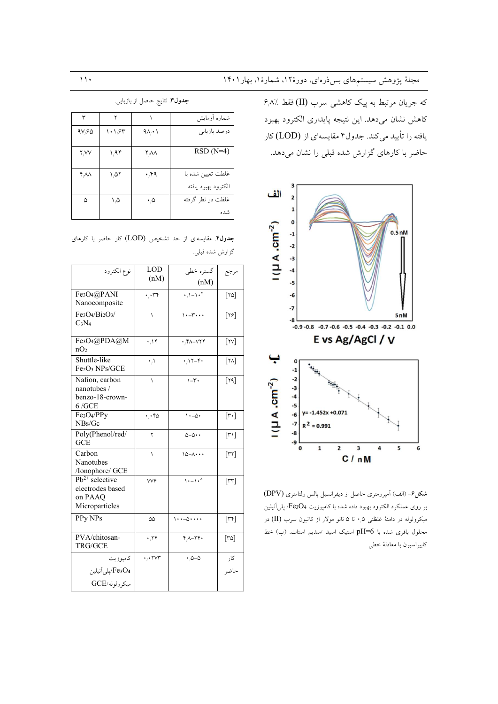که جریان مرتبط به پیک کاهشی سرب (II) فقط ٪۶٫۸ كاهش نشان مى دهد. اين نتيجه پايدارى الكترود بهبود یافته را تأیید میکند. جدول۴ مقایسهای از (LOD) کار حاضر با کارهای گزارش شده قبلی را نشان میدهد.



شكل ۶- (الف) آمپرومترى حاصل از ديفرانسيل پالس ولتامترى (DPV) بر روی عملکرد الکترود بهبود داده شده با کامپوزیت Fe3O4/ پلی آنیلین میکرولوله در دامنهٔ غلظتی ۰٫۵ تا ۵ نانو مولار از کاتیون سرب (II) در محلول بافری شده با pH=6 استیک اسید ⁄سدیم استات. (ب) خط كابيراسيون با معادلهٔ خطى

جدول٣. نتايج حاصل از بازيابي.

| ٣                             | ۲      |                                | شماره أزمايش                             |
|-------------------------------|--------|--------------------------------|------------------------------------------|
| 9V,60                         | ۱۰۱٬۶۳ | $9\lambda_i \cdot 1$           | درصد بازيابي                             |
| Y/VV                          | ۱٬۹۴   | $\mathsf{Y} \wedge \mathsf{A}$ | $RSD(N=4)$                               |
| $\mathfrak{r}_{\wedge}\wedge$ | ۱٬۵۲   | ٬۴۹                            | غلطت تعیین شده با<br>الكترود بهبود يافته |
| ۵                             | ۱,۵    | ۰۵                             | غلظت در نظر گرفته<br>شده                 |

جدول۴. مقایسهای از حد تشخیص (LOD) کار حاضر با کارهای گزارش شده قبلي.

| (nM)<br>$\sqrt{1-1 \cdot^{\dagger}}$<br>Fe <sub>3</sub> O <sub>4</sub> @PANI<br>$\lceil \text{var} \rceil$<br>۲۳۴.<br>Nanocomposite<br>Fe3O4/Bi2O3/<br>$\cdots$ $\cdots$<br>$\lbrack \mathsf{Y} \mathsf{S} \rbrack$<br>١<br>$C_3N_4$<br>Fe <sub>3</sub> O <sub>4</sub> @PDA@M<br>$[\forall \forall]$<br>.14<br>٢٨-٧٢۴.<br>nO <sub>2</sub><br>Shuttle-like<br>$\lceil \mathsf{Y} \mathsf{A} \rceil$<br>$\cdot \wedge$<br>$.17 - 1$<br>$Fe2O3$ NPs/GCE<br>Nafion, carbon<br>$1-\tilde{r}$<br>[Y4]<br>١<br>nanotubes /<br>benzo-18-crown-<br>6/GE<br>Fe <sub>3</sub> O <sub>4</sub> /PPy<br>$\lceil r \cdot \rceil$<br>$\cdot - \Delta$<br>$\cdot$ , $\cdot$ ۴۵<br>NBs/Gc<br>Poly(Phenol/red/<br>$\lceil r \sqrt{r} \rceil$<br>$0 - 0 \cdot \cdot$<br>۲<br>GCE<br>Carbon<br>$\lceil \mathsf{r} \mathsf{r} \rceil$<br>$10 - A \cdots$<br>١<br><b>Nanotubes</b><br>/Ionophore/ GCE<br>$1. - 1.$<br>$Pb^{2+}$ selective<br>$[\mathsf{r}\mathsf{r}]$<br>VV <sub>۶</sub><br>electrodes based<br>on PAAO<br>Microparticles<br>PPy NPs<br>$\lceil \mathbf{r} \mathbf{r} \rceil$<br>$\cdots$ - $\circ$<br>۵۵<br>PVA/chitosan-<br>$\lceil r \circ \rceil$<br>$\cdot$ , $\cdot$<br>$Y_A - YY$<br>TRG/GCE<br>$\cdot$ , $\cdot$ $\vee\uparrow$<br>$\cdot$ 0-0<br>کار<br>كاميوزيت<br>Fe3O4/يلي آنيلين<br>حاضر<br>ميكرولوله/GCE | نوع الكترود | LOD  | گستره خطي | مرجع |
|----------------------------------------------------------------------------------------------------------------------------------------------------------------------------------------------------------------------------------------------------------------------------------------------------------------------------------------------------------------------------------------------------------------------------------------------------------------------------------------------------------------------------------------------------------------------------------------------------------------------------------------------------------------------------------------------------------------------------------------------------------------------------------------------------------------------------------------------------------------------------------------------------------------------------------------------------------------------------------------------------------------------------------------------------------------------------------------------------------------------------------------------------------------------------------------------------------------------------------------------------------------------------------------------------------------|-------------|------|-----------|------|
|                                                                                                                                                                                                                                                                                                                                                                                                                                                                                                                                                                                                                                                                                                                                                                                                                                                                                                                                                                                                                                                                                                                                                                                                                                                                                                                |             | (nM) |           |      |
|                                                                                                                                                                                                                                                                                                                                                                                                                                                                                                                                                                                                                                                                                                                                                                                                                                                                                                                                                                                                                                                                                                                                                                                                                                                                                                                |             |      |           |      |
|                                                                                                                                                                                                                                                                                                                                                                                                                                                                                                                                                                                                                                                                                                                                                                                                                                                                                                                                                                                                                                                                                                                                                                                                                                                                                                                |             |      |           |      |
|                                                                                                                                                                                                                                                                                                                                                                                                                                                                                                                                                                                                                                                                                                                                                                                                                                                                                                                                                                                                                                                                                                                                                                                                                                                                                                                |             |      |           |      |
|                                                                                                                                                                                                                                                                                                                                                                                                                                                                                                                                                                                                                                                                                                                                                                                                                                                                                                                                                                                                                                                                                                                                                                                                                                                                                                                |             |      |           |      |
|                                                                                                                                                                                                                                                                                                                                                                                                                                                                                                                                                                                                                                                                                                                                                                                                                                                                                                                                                                                                                                                                                                                                                                                                                                                                                                                |             |      |           |      |
|                                                                                                                                                                                                                                                                                                                                                                                                                                                                                                                                                                                                                                                                                                                                                                                                                                                                                                                                                                                                                                                                                                                                                                                                                                                                                                                |             |      |           |      |
|                                                                                                                                                                                                                                                                                                                                                                                                                                                                                                                                                                                                                                                                                                                                                                                                                                                                                                                                                                                                                                                                                                                                                                                                                                                                                                                |             |      |           |      |
|                                                                                                                                                                                                                                                                                                                                                                                                                                                                                                                                                                                                                                                                                                                                                                                                                                                                                                                                                                                                                                                                                                                                                                                                                                                                                                                |             |      |           |      |
|                                                                                                                                                                                                                                                                                                                                                                                                                                                                                                                                                                                                                                                                                                                                                                                                                                                                                                                                                                                                                                                                                                                                                                                                                                                                                                                |             |      |           |      |
|                                                                                                                                                                                                                                                                                                                                                                                                                                                                                                                                                                                                                                                                                                                                                                                                                                                                                                                                                                                                                                                                                                                                                                                                                                                                                                                |             |      |           |      |
|                                                                                                                                                                                                                                                                                                                                                                                                                                                                                                                                                                                                                                                                                                                                                                                                                                                                                                                                                                                                                                                                                                                                                                                                                                                                                                                |             |      |           |      |
|                                                                                                                                                                                                                                                                                                                                                                                                                                                                                                                                                                                                                                                                                                                                                                                                                                                                                                                                                                                                                                                                                                                                                                                                                                                                                                                |             |      |           |      |
|                                                                                                                                                                                                                                                                                                                                                                                                                                                                                                                                                                                                                                                                                                                                                                                                                                                                                                                                                                                                                                                                                                                                                                                                                                                                                                                |             |      |           |      |
|                                                                                                                                                                                                                                                                                                                                                                                                                                                                                                                                                                                                                                                                                                                                                                                                                                                                                                                                                                                                                                                                                                                                                                                                                                                                                                                |             |      |           |      |
|                                                                                                                                                                                                                                                                                                                                                                                                                                                                                                                                                                                                                                                                                                                                                                                                                                                                                                                                                                                                                                                                                                                                                                                                                                                                                                                |             |      |           |      |
|                                                                                                                                                                                                                                                                                                                                                                                                                                                                                                                                                                                                                                                                                                                                                                                                                                                                                                                                                                                                                                                                                                                                                                                                                                                                                                                |             |      |           |      |
|                                                                                                                                                                                                                                                                                                                                                                                                                                                                                                                                                                                                                                                                                                                                                                                                                                                                                                                                                                                                                                                                                                                                                                                                                                                                                                                |             |      |           |      |
|                                                                                                                                                                                                                                                                                                                                                                                                                                                                                                                                                                                                                                                                                                                                                                                                                                                                                                                                                                                                                                                                                                                                                                                                                                                                                                                |             |      |           |      |
|                                                                                                                                                                                                                                                                                                                                                                                                                                                                                                                                                                                                                                                                                                                                                                                                                                                                                                                                                                                                                                                                                                                                                                                                                                                                                                                |             |      |           |      |
|                                                                                                                                                                                                                                                                                                                                                                                                                                                                                                                                                                                                                                                                                                                                                                                                                                                                                                                                                                                                                                                                                                                                                                                                                                                                                                                |             |      |           |      |
|                                                                                                                                                                                                                                                                                                                                                                                                                                                                                                                                                                                                                                                                                                                                                                                                                                                                                                                                                                                                                                                                                                                                                                                                                                                                                                                |             |      |           |      |
|                                                                                                                                                                                                                                                                                                                                                                                                                                                                                                                                                                                                                                                                                                                                                                                                                                                                                                                                                                                                                                                                                                                                                                                                                                                                                                                |             |      |           |      |
|                                                                                                                                                                                                                                                                                                                                                                                                                                                                                                                                                                                                                                                                                                                                                                                                                                                                                                                                                                                                                                                                                                                                                                                                                                                                                                                |             |      |           |      |
|                                                                                                                                                                                                                                                                                                                                                                                                                                                                                                                                                                                                                                                                                                                                                                                                                                                                                                                                                                                                                                                                                                                                                                                                                                                                                                                |             |      |           |      |
|                                                                                                                                                                                                                                                                                                                                                                                                                                                                                                                                                                                                                                                                                                                                                                                                                                                                                                                                                                                                                                                                                                                                                                                                                                                                                                                |             |      |           |      |
|                                                                                                                                                                                                                                                                                                                                                                                                                                                                                                                                                                                                                                                                                                                                                                                                                                                                                                                                                                                                                                                                                                                                                                                                                                                                                                                |             |      |           |      |
|                                                                                                                                                                                                                                                                                                                                                                                                                                                                                                                                                                                                                                                                                                                                                                                                                                                                                                                                                                                                                                                                                                                                                                                                                                                                                                                |             |      |           |      |
|                                                                                                                                                                                                                                                                                                                                                                                                                                                                                                                                                                                                                                                                                                                                                                                                                                                                                                                                                                                                                                                                                                                                                                                                                                                                                                                |             |      |           |      |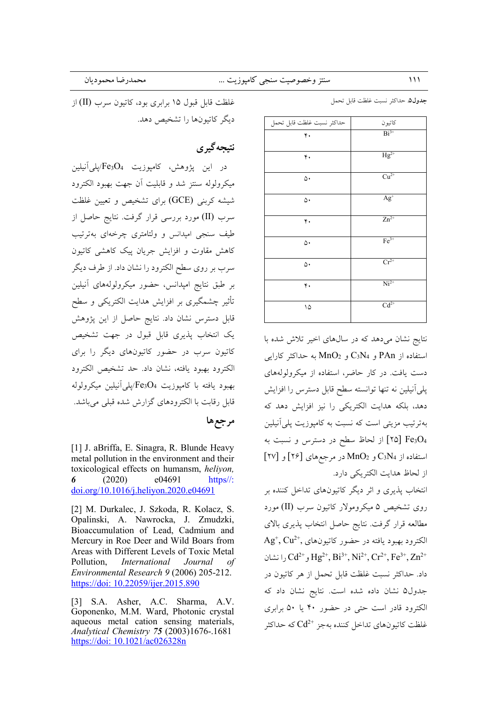| سنتز وخصوصیت سنجی کامپوزیت … |  |  |
|------------------------------|--|--|
|                              |  |  |

غلظت قابل قبول ۱۵ برابری بود، کاتیون سرب (II) از ديگر كاتبونها را تشخيص دهد.

## نتىحەگىرى

در اين پژوهش، كامپوزيت Fe3O4/پليآنيلين میکرولوله سنتز شد و قابلیت آن جهت بهبود الکترود شیشه کربنی (GCE) برای تشخیص و تعیین غلظت سرب (II) مورد بررسی قرار گرفت. نتایج حاصل از طیف سنجی امپدانس و ولتامتری چرخهای بهترتیب کاهش مقاوت و افزایش جریان پیک کاهشی کاتیون سرب بر روی سطح الکترود را نشان داد. از طرف دیگر بر طبق نتايج امپدانس، حضور ميكرولولههاى آنيلين .<br>تأثیر چشمگیری بر افزایش هدایت الکتریکی و سطح .<br>قابل دسترس نشان داد. نتایج حاصل از این پژوهش یک انتخاب پذیری قابل قبول در جهت تشخیص کاتیون سرب در حضور کاتیونهای دیگر را برای الكترود بهبود يافته، نشان داد. حد تشخيص الكترود بهبود یافته با کامپوزیت Fe3O4/پلیآنیلین میکرولوله قابل رقابت با الکترودهای گزارش شده قبلی می باشد.

مرجعها

[1] J. aBriffa, E. Sinagra, R. Blunde Heavy metal pollution in the environment and their toxicological effects on humansm, heliyon, e04691  $(2020)$ https//: 6 doi.org/10.1016/j.heliyon.2020.e04691

[2] M. Durkalec, J. Szkoda, R. Kolacz, S. Opalinski, A. Nawrocka, J. Zmudzki, Bioaccumulation of Lead, Cadmium and Mercury in Roe Deer and Wild Boars from Areas with Different Levels of Toxic Metal International Journal Pollution,  $\sigma$ f Environmental Research 9 (2006) 205-212. https://doi: 10.22059/ijer.2015.890

[3] S.A. Asher, A.C. Sharma, A.V. Goponenko, M.M. Ward, Photonic crystal aqueous metal cation sensing materials, Analytical Chemistry 75 (2003)1676-.1681 https://doi: 10.1021/ac026328n

|  |  |  |  |  | <b>جدول۵</b> حداكثر نسبت غلظت قابل تحمل |
|--|--|--|--|--|-----------------------------------------|
|--|--|--|--|--|-----------------------------------------|

| حداكثر نسبت غلظت قابل تحمل | كاتيون               |
|----------------------------|----------------------|
| ۴.                         | $Bi^{3+}$            |
| ۴.                         | $Hg^{2+}$            |
| ۵۰                         | $Cu2+$               |
| ۵۰                         | $Ag+$                |
| ۴.                         | $Zn^{2+}$            |
| ۵۰                         | $Fe3+$               |
| ۵۰                         | $Cr^{2+}$            |
| ۴.                         | $\overline{Ni^{2+}}$ |
| ۱۵                         | $Cd^{2+}$            |

نتایج نشان می دهد که در سال های اخیر تلاش شده با استفاده از PAn و C3N4 و C3N4 به حداکثر کارایی دست یافت. در کار حاضر، استفاده از میکرولولههای يلي أنيلين نه تنها توانسته سطح قابل دسترس را افزايش دهد، بلكه هدايت الكتريكي را نيز افزايش دهد كه بهترتیب مزیتی است که نسبت به کامپوزیت پلی آنیلین Fe3O4 [٢٥] از لحاظ سطح در دسترس و نسبت به  $[79]$ و C3N2 و MnO2 در مرجعههای  $[79]$ و از لحاظ هدايت الكتريكي دارد.

انتخاب پذیری و اثر دیگر کاتیونهای تداخل کننده بر روی تشخیص ۵ میکرومولار کاتیون سرب (II) مورد مطالعه قرار گرفت. نتايج حاصل انتخاب پذيري بالاي  $Ag^+, Cu^{2+},$  الکترود بهبود یافته در حضور کاتیونهای را نشان ( $Cd^{2+}$ ,  $Hg^{2+}$ ,  $Bi^{3+}$ ,  $Ni^{2+}$ ,  $Cr^{2+}$ ,  $Fe^{3+}$ ,  $Zn^{2+}$ داد. حداكثر نسبت غلظت قابل تحمل از هر كاتيون در جدول۵ نشان داده شده است. نتایج نشان داد که الکترود قادر است حتی در حضور ۴۰ یا ۵۰ برابری غلظت کاتبو نهای تداخل کننده بهجز  $\operatorname{Cd^{2+}}$  که حداکثر

 $111$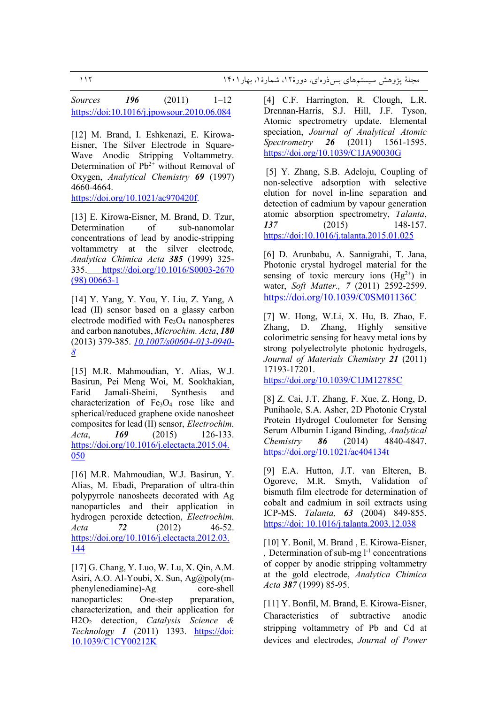*Sources 196* (2011) 1–12 https://doi:10.1016/j.jpowsour.2010.06.084

[12] M. Brand, I. Eshkenazi, E. Kirowa-Eisner, The Silver Electrode in Square-Wave Anodic Stripping Voltammetry. Determination of  $Pb^{2+}$  without Removal of Oxygen, *Analytical Chemistry 69* (1997) 4660-4664.

https://doi.org/10.1021/ac970420f.

[13] E. Kirowa-Eisner, M. Brand, D. Tzur, Determination of sub-nanomolar concentrations of lead by anodic-stripping voltammetry at the silver electrode*, Analytica Chimica Acta 385* (1999) 325- 335. https://doi.org/10.1016/S0003-2670 (98) 00663-1

[14] Y. Yang, Y. You, Y. Liu, Z. Yang, A lead (II) sensor based on a glassy carbon electrode modified with  $Fe<sub>3</sub>O<sub>4</sub>$  nanospheres and carbon nanotubes, *Microchim. Acta*, *180* (2013) 379-385. *10.1007/s00604-013-0940- 8*

[15] M.R. Mahmoudian, Y. Alias, W.J. Basirun, Pei Meng Woi, M. Sookhakian, Farid Jamali-Sheini, Synthesis and characterization of Fe<sub>3</sub>O<sub>4</sub> rose like and spherical/reduced graphene oxide nanosheet composites for lead (II) sensor, *Electrochim. Acta*, *169* (2015) 126-133. https://doi.org/10.1016/j.electacta.2015.04. 050

[16] M.R. Mahmoudian, W.J. Basirun, Y. Alias, M. Ebadi, Preparation of ultra-thin polypyrrole nanosheets decorated with Ag nanoparticles and their application in hydrogen peroxide detection, *Electrochim. Acta 72* (2012) 46-52. https://doi.org/10.1016/j.electacta.2012.03. 144

[17] G. Chang, Y. Luo, W. Lu, X. Qin, A.M. Asiri, A.O. Al-Youbi, X. Sun, Ag@poly(mphenylenediamine)-Ag core-shell nanoparticles: One-step preparation, characterization, and their application for H2O2 detection, *Catalysis Science & Technology 1* (2011) 1393. https://doi: 10.1039/C1CY00212K

[4] C.F. Harrington, R. Clough, L.R. Drennan-Harris, S.J. Hill, J.F. Tyson, Atomic spectrometry update. Elemental speciation, *Journal of Analytical Atomic Spectrometry 26* (2011) 1561-1595. https://doi.org/10.1039/C1JA90030G

 [5] Y. Zhang, S.B. Adeloju, Coupling of non-selective adsorption with selective elution for novel in-line separation and detection of cadmium by vapour generation atomic absorption spectrometry, *Talanta*, *137* (2015) 148-157. https://doi:10.1016/j.talanta.2015.01.025

[6] D. Arunbabu, A. Sannigrahi, T. Jana, Photonic crystal hydrogel material for the sensing of toxic mercury ions  $(Hg^{2+})$  in water, *Soft Matter., 7* (2011) 2592-2599. https://doi.org/10.1039/C0SM01136C

[7] W. Hong, W.Li, X. Hu, B. Zhao, F. Zhang, D. Zhang, Highly sensitive colorimetric sensing for heavy metal ions by strong polyelectrolyte photonic hydrogels, *Journal of Materials Chemistry 21* (2011) 17193-17201.

https://doi.org/10.1039/C1JM12785C

[8] Z. Cai, J.T. Zhang, F. Xue, Z. Hong, D. Punihaole, S.A. Asher, 2D Photonic Crystal Protein Hydrogel Coulometer for Sensing Serum Albumin Ligand Binding, *Analytical Chemistry 86* (2014) 4840-4847. https://doi.org/10.1021/ac404134t

[9] E.A. Hutton, J.T. van Elteren, B. Ogorevc, M.R. Smyth, Validation of bismuth film electrode for determination of cobalt and cadmium in soil extracts using ICP-MS. *Talanta, 63* (2004) 849-855. https://doi: 10.1016/j.talanta.2003.12.038

[10] Y. Bonil, M. Brand , E. Kirowa-Eisner, *,* Determination of sub-mg l-1 concentrations of copper by anodic stripping voltammetry at the gold electrode, *Analytica Chimica Acta 387* (1999) 85-95.

[11] Y. Bonfil, M. Brand, E. Kirowa-Eisner, Characteristics of subtractive anodic stripping voltammetry of Pb and Cd at devices and electrodes, *Journal of Power*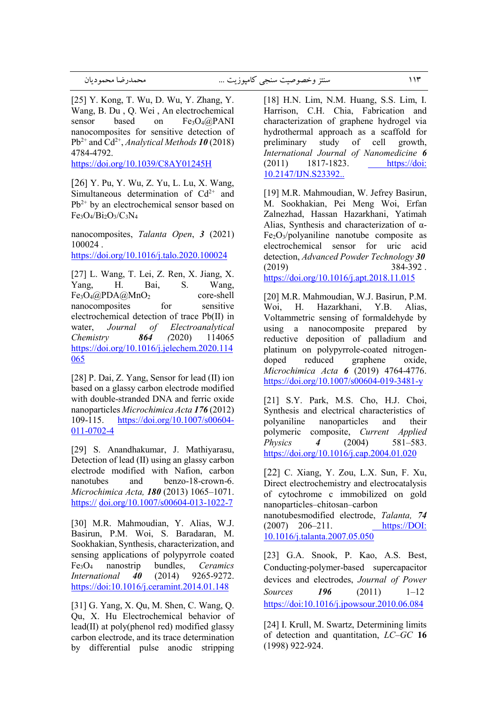[25] Y. Kong, T. Wu, D. Wu, Y. Zhang, Y. Wang, B. Du , Q. Wei , An electrochemical sensor based on  $Fe<sub>3</sub>O<sub>4</sub>(a)PANI$ nanocomposites for sensitive detection of  $Pb^{2+}$  and  $Cd^{2+}$ , *Analytical Methods* 10 (2018) 4784-4792.

https://doi.org/10.1039/C8AY01245H

[26] Y. Pu, Y. Wu, Z. Yu, L. Lu, X. Wang, Simultaneous determination of  $Cd^{2+}$  and  $Pb^{2+}$  by an electrochemical sensor based on  $Fe<sub>3</sub>O<sub>4</sub>/Bi<sub>2</sub>O<sub>3</sub>/C<sub>3</sub>N<sub>4</sub>$ 

nanocomposites, *Talanta Open*, *3* (2021) 100024 .

https://doi.org/10.1016/j.talo.2020.100024

[27] L. Wang, T. Lei, Z. Ren, X. Jiang, X. Yang, H. Bai, S. Wang,  $Fe<sub>3</sub>O<sub>4</sub>(a)PDA(a)MnO<sub>2</sub>$  core-shell nanocomposites for sensitive electrochemical detection of trace Pb(II) in water, *Journal of Electroanalytical Chemistry 864 (*2020) 114065 https://doi.org/10.1016/j.jelechem.2020.114 065

[28] P. Dai, Z. Yang, Sensor for lead (II) ion based on a glassy carbon electrode modified with double-stranded DNA and ferric oxide nanoparticles *Microchimica Acta 176* (2012) 109-115. https://doi.org/10.1007/s00604- 011-0702-4

[29] S. Anandhakumar, J. Mathiyarasu, Detection of lead (II) using an glassy carbon electrode modified with Nafion, carbon nanotubes and benzo-18-crown-6. *Microchimica Acta, 180* (2013) 1065–1071. https:// doi.org/10.1007/s00604-013-1022-7

[30] M.R. Mahmoudian, Y. Alias, W.J. Basirun, P.M. Woi, S. Baradaran, M. Sookhakian, Synthesis, characterization, and sensing applications of polypyrrole coated Fe3O4 nanostrip bundles, *Ceramics International 40* (2014) 9265-9272. https://doi:10.1016/j.ceramint.2014.01.148

[31] G. Yang, X. Qu, M. Shen, C. Wang, Q. Qu, X. Hu Electrochemical behavior of lead(II) at poly(phenol red) modified glassy carbon electrode, and its trace determination by differential pulse anodic stripping

[18] H.N. Lim, N.M. Huang, S.S. Lim, I. Harrison, C.H. Chia, Fabrication and characterization of graphene hydrogel via hydrothermal approach as a scaffold for preliminary study of cell growth, *International Journal of Nanomedicine 6* (2011) 1817-1823. https://doi: 10.2147/IJN.S23392..

[19] M.R. Mahmoudian, W. Jefrey Basirun, M. Sookhakian, Pei Meng Woi, Erfan Zalnezhad, Hassan Hazarkhani, Yatimah Alias, Synthesis and characterization of  $\alpha$ - $Fe<sub>2</sub>O<sub>3</sub>/polvaniline nanotube composite as$ electrochemical sensor for uric acid detection, *Advanced Powder Technology 30*  $(2019)$  384-392. https://doi.org/10.1016/j.apt.2018.11.015

[20] M.R. Mahmoudian, W.J. Basirun, P.M. Woi, H. Hazarkhani, Y.B. Alias, Voltammetric sensing of formaldehyde by using a nanocomposite prepared by reductive deposition of palladium and platinum on polypyrrole-coated nitrogendoped reduced graphene oxide, *Microchimica Acta 6* (2019) 4764-4776. https://doi.org/10.1007/s00604-019-3481-y

[21] S.Y. Park, M.S. Cho, H.J. Choi, Synthesis and electrical characteristics of polyaniline nanoparticles and their polymeric composite, *Current Applied Physics 4* (2004) 581–583. https://doi.org/10.1016/j.cap.2004.01.020

[22] C. Xiang, Y. Zou, L.X. Sun, F. Xu, Direct electrochemistry and electrocatalysis of cytochrome c immobilized on gold nanoparticles–chitosan–carbon

nanotubesmodified electrode, *Talanta, 74* (2007) 206–211. https://DOI: 10.1016/j.talanta.2007.05.050

[23] G.A. Snook, P. Kao, A.S. Best, Conducting-polymer-based supercapacitor devices and electrodes, *Journal of Power Sources 196* (2011) 1–12 https://doi:10.1016/j.jpowsour.2010.06.084

[24] I. Krull, M. Swartz, Determining limits of detection and quantitation, *LC–GC* **16** (1998) 922-924.